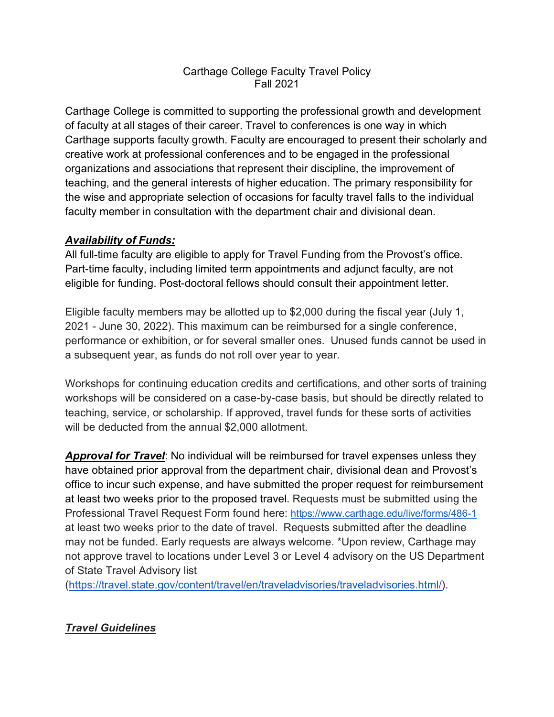## Carthage College Faculty Travel Policy Fall 2021

Carthage College is committed to supporting the professional growth and development of faculty at all stages of their career. Travel to conferences is one way in which Carthage supports faculty growth. Faculty are encouraged to present their scholarly and creative work at professional conferences and to be engaged in the professional organizations and associations that represent their discipline, the improvement of teaching, and the general interests of higher education. The primary responsibility for the wise and appropriate selection of occasions for faculty travel falls to the individual faculty member in consultation with the department chair and divisional dean.

## *Availability of Funds:*

All full-time faculty are eligible to apply for Travel Funding from the Provost's office. Part-time faculty, including limited term appointments and adjunct faculty, are not eligible for funding. Post-doctoral fellows should consult their appointment letter.

Eligible faculty members may be allotted up to \$2,000 during the fiscal year (July 1, 2021 - June 30, 2022). This maximum can be reimbursed for a single conference, performance or exhibition, or for several smaller ones. Unused funds cannot be used in a subsequent year, as funds do not roll over year to year.

Workshops for continuing education credits and certifications, and other sorts of training workshops will be considered on a case-by-case basis, but should be directly related to teaching, service, or scholarship. If approved, travel funds for these sorts of activities will be deducted from the annual \$2,000 allotment.

*Approval for Travel*: No individual will be reimbursed for travel expenses unless they have obtained prior approval from the department chair, divisional dean and Provost's office to incur such expense, and have submitted the proper request for reimbursement at least two weeks prior to the proposed travel. Requests must be submitted using the Professional Travel Request Form found here: https://www.carthage.edu/live/forms/486-1 at least two weeks prior to the date of travel. Requests submitted after the deadline may not be funded. Early requests are always welcome. \*Upon review, Carthage may not approve travel to locations under Level 3 or Level 4 advisory on the US Department of State Travel Advisory list

(https://travel.state.gov/content/travel/en/traveladvisories/traveladvisories.html/).

# *Travel Guidelines*